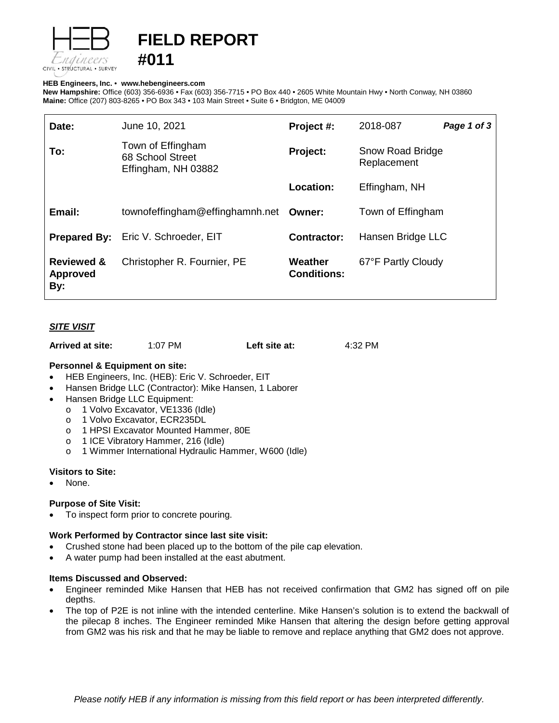

# **FIELD REPORT**

#### **HEB Engineers, Inc.** • **[www.hebengineer](http://www.hebengineers.com/)s.com**

**#011**

**New Hampshire:** Office (603) 356-6936 • Fax (603) 356-7715 • PO Box 440 • 2605 White Mountain Hwy • North Conway, NH 03860 **Maine:** Office (207) 803-8265 • PO Box 343 • 103 Main Street • Suite 6 • Bridgton, ME 04009

| Date:                                           | June 10, 2021                                                | Project #:                    | 2018-087                        | Page 1 of 3 |
|-------------------------------------------------|--------------------------------------------------------------|-------------------------------|---------------------------------|-------------|
| To:                                             | Town of Effingham<br>68 School Street<br>Effingham, NH 03882 | Project:                      | Snow Road Bridge<br>Replacement |             |
|                                                 |                                                              | <b>Location:</b>              | Effingham, NH                   |             |
| Email:                                          | townofeffingham@effinghamnh.net Owner:                       |                               | Town of Effingham               |             |
|                                                 | <b>Prepared By:</b> Eric V. Schroeder, EIT                   | <b>Contractor:</b>            | Hansen Bridge LLC               |             |
| <b>Reviewed &amp;</b><br><b>Approved</b><br>By: | Christopher R. Fournier, PE                                  | Weather<br><b>Conditions:</b> | 67°F Partly Cloudy              |             |

## *SITE VISIT*

| Arrived at site: | 1:07 PM | Left site at: | 4:32 PM |
|------------------|---------|---------------|---------|
|------------------|---------|---------------|---------|

#### **Personnel & Equipment on site:**

- HEB Engineers, Inc. (HEB): Eric V. Schroeder, EIT
- Hansen Bridge LLC (Contractor): Mike Hansen, 1 Laborer
- Hansen Bridge LLC Equipment:
	- o 1 Volvo Excavator, VE1336 (Idle)<br>o 1 Volvo Excavator, ECR235DL
	- o 1 Volvo Excavator, ECR235DL<br>o 1 HPSI Excavator Mounted Har
	- 1 HPSI Excavator Mounted Hammer, 80E
	- o 1 ICE Vibratory Hammer, 216 (Idle)
	- o 1 Wimmer International Hydraulic Hammer, W600 (Idle)

#### **Visitors to Site:**

None.

#### **Purpose of Site Visit:**

To inspect form prior to concrete pouring.

#### **Work Performed by Contractor since last site visit:**

- Crushed stone had been placed up to the bottom of the pile cap elevation.
- A water pump had been installed at the east abutment.

#### **Items Discussed and Observed:**

- Engineer reminded Mike Hansen that HEB has not received confirmation that GM2 has signed off on pile depths.
- The top of P2E is not inline with the intended centerline. Mike Hansen's solution is to extend the backwall of the pilecap 8 inches. The Engineer reminded Mike Hansen that altering the design before getting approval from GM2 was his risk and that he may be liable to remove and replace anything that GM2 does not approve.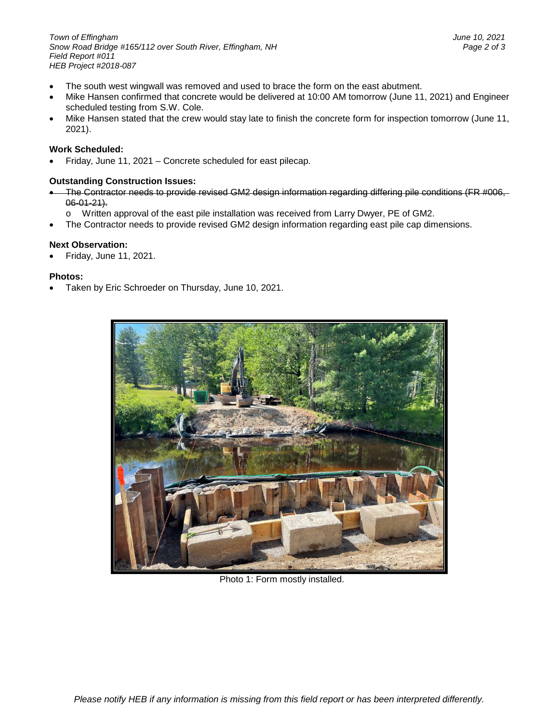*Town of Effingham June 10, 2021 Snow Road Bridge #165/112 over South River, Effingham, NH Page 2 of 3 Field Report #011 HEB Project #2018-087*

- The south west wingwall was removed and used to brace the form on the east abutment.
- Mike Hansen confirmed that concrete would be delivered at 10:00 AM tomorrow (June 11, 2021) and Engineer scheduled testing from S.W. Cole.
- Mike Hansen stated that the crew would stay late to finish the concrete form for inspection tomorrow (June 11, 2021).

### **Work Scheduled:**

• Friday, June 11, 2021 – Concrete scheduled for east pilecap.

### **Outstanding Construction Issues:**

- The Contractor needs to provide revised GM2 design information regarding differing pile conditions (FR #006,  $06 - 01 - 21$ .
	- o Written approval of the east pile installation was received from Larry Dwyer, PE of GM2.
- The Contractor needs to provide revised GM2 design information regarding east pile cap dimensions.

#### **Next Observation:**

• Friday, June 11, 2021.

#### **Photos:**

• Taken by Eric Schroeder on Thursday, June 10, 2021.



Photo 1: Form mostly installed.